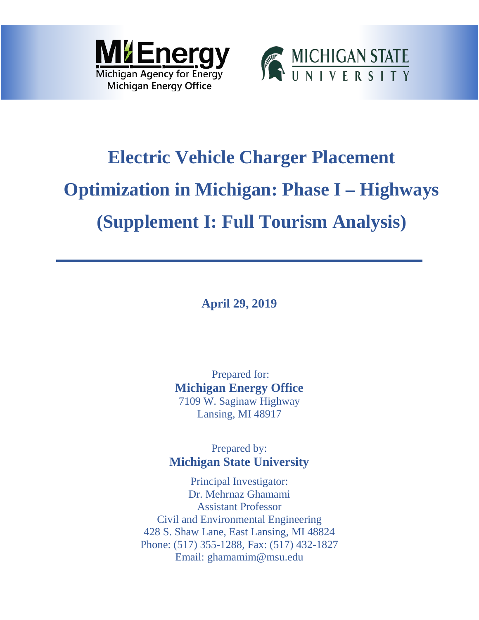



# **Electric Vehicle Charger Placement Optimization in Michigan: Phase I – Highways (Supplement I: Full Tourism Analysis)**

**April 29, 2019**

Prepared for: **Michigan Energy Office** 7109 W. Saginaw Highway Lansing, MI 48917

Prepared by: **Michigan State University** 

Principal Investigator: Dr. Mehrnaz Ghamami Assistant Professor Civil and Environmental Engineering 428 S. Shaw Lane, East Lansing, MI 48824 Phone: (517) 355-1288, Fax: (517) 432-1827 Email: ghamamim@msu.edu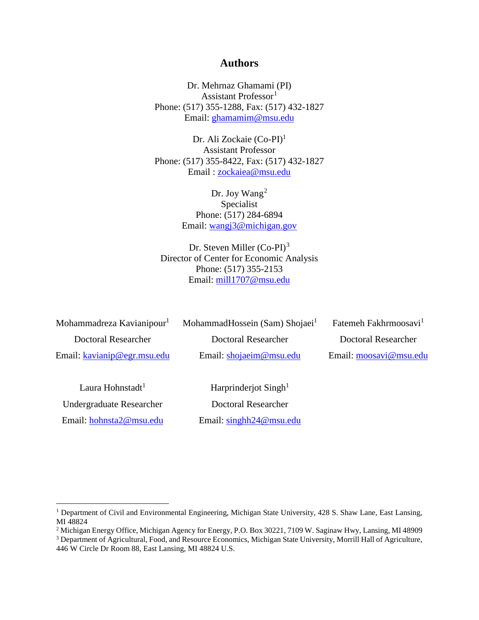#### **Authors**

Dr. Mehrnaz Ghamami (PI) Assistant Professor<sup>[1](#page-1-0)</sup> Phone: (517) 355-1288, Fax: (517) 432-1827 Email: [ghamamim@msu.edu](mailto:ghamamim@msu.edu)

Dr. Ali Zockaie (Co-PI)<sup>1</sup> Assistant Professor Phone: (517) 355-8422, Fax: (517) 432-1827 Email : [zockaiea@msu.edu](mailto:zockaiea@msu.edu)

> Dr. Joy Wang<sup>[2](#page-1-1)</sup> Specialist Phone: (517) 284-6894 Email: [wangj3@michigan.gov](mailto:wangj3@michigan.gov)

Dr. Steven Miller (Co-PI)<sup>[3](#page-1-2)</sup> Director of Center for Economic Analysis Phone: (517) 355-2153 Email: [mill1707@msu.edu](mailto:mill1707@msu.edu)

| Mohammadreza Kavianipour <sup>1</sup> | MohammadHossein (Sam) Shojaei <sup>1</sup> | Fatemeh Fakhrmoosavi <sup>1</sup> |
|---------------------------------------|--------------------------------------------|-----------------------------------|
| <b>Doctoral Researcher</b>            | <b>Doctoral Researcher</b>                 | Doctoral Researcher               |
| Email: kavianip@egr.msu.edu           | Email: shojaeim@msu.edu                    | Email: moosavi@msu.edu            |
| Laura Hohnstadt <sup>1</sup>          | Harprinderjot Singh <sup>1</sup>           |                                   |
| Undergraduate Researcher              | <b>Doctoral Researcher</b>                 |                                   |

Email: [singhh24@msu.edu](mailto:singhh24@msu.edu)

Email: [hohnsta2@msu.edu](mailto:hohnsta2@msu.edu)

<span id="page-1-0"></span><sup>1</sup> Department of Civil and Environmental Engineering, Michigan State University, 428 S. Shaw Lane, East Lansing, MI 48824

<span id="page-1-1"></span><sup>2</sup> Michigan Energy Office, Michigan Agency for Energy, P.O. Box 30221, 7109 W. Saginaw Hwy, Lansing, MI 48909

<span id="page-1-2"></span><sup>3</sup> Department of Agricultural, Food, and Resource Economics, Michigan State University, Morrill Hall of Agriculture, 446 W Circle Dr Room 88, East Lansing, MI 48824 U.S.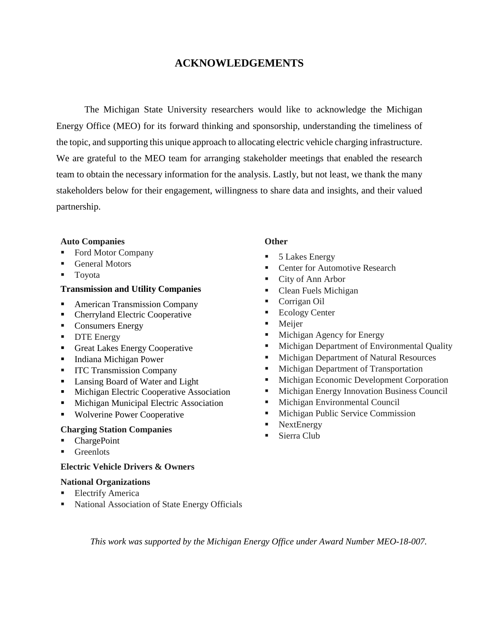## **ACKNOWLEDGEMENTS**

The Michigan State University researchers would like to acknowledge the Michigan Energy Office (MEO) for its forward thinking and sponsorship, understanding the timeliness of the topic, and supporting this unique approach to allocating electric vehicle charging infrastructure. We are grateful to the MEO team for arranging stakeholder meetings that enabled the research team to obtain the necessary information for the analysis. Lastly, but not least, we thank the many stakeholders below for their engagement, willingness to share data and insights, and their valued partnership.

#### **Auto Companies**

- Ford Motor Company
- General Motors
- **Toyota**

#### **Transmission and Utility Companies**

- **American Transmission Company**
- Cherryland Electric Cooperative
- Consumers Energy
- **DTE** Energy
- Great Lakes Energy Cooperative
- Indiana Michigan Power
- **ITC Transmission Company**
- Lansing Board of Water and Light
- **Michigan Electric Cooperative Association**
- **Michigan Municipal Electric Association**
- **Wolverine Power Cooperative**

#### **Charging Station Companies**

- ChargePoint
- **Greenlots**

#### **Electric Vehicle Drivers & Owners**

#### **National Organizations**

- **Electrify America**
- National Association of State Energy Officials

#### **Other**

- 5 Lakes Energy
- Center for Automotive Research
- City of Ann Arbor
- Clean Fuels Michigan
- Corrigan Oil
- **Ecology Center**
- **Meijer**
- **Michigan Agency for Energy**
- **Michigan Department of Environmental Quality**
- **Michigan Department of Natural Resources**
- **Michigan Department of Transportation**
- **Michigan Economic Development Corporation**
- **Michigan Energy Innovation Business Council**
- **Michigan Environmental Council**
- **Michigan Public Service Commission**
- NextEnergy
- Sierra Club

*This work was supported by the Michigan Energy Office under Award Number MEO-18-007.*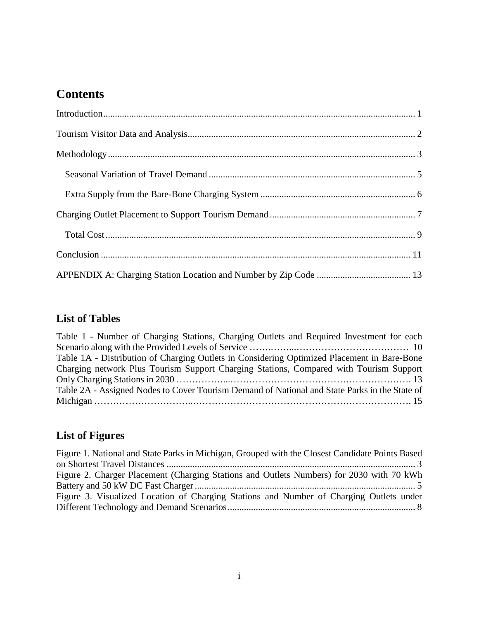# **Contents**

## **List of Tables**

| Table 1 - Number of Charging Stations, Charging Outlets and Required Investment for each      |  |
|-----------------------------------------------------------------------------------------------|--|
|                                                                                               |  |
| Table 1A - Distribution of Charging Outlets in Considering Optimized Placement in Bare-Bone   |  |
| Charging network Plus Tourism Support Charging Stations, Compared with Tourism Support        |  |
|                                                                                               |  |
| Table 2A - Assigned Nodes to Cover Tourism Demand of National and State Parks in the State of |  |
|                                                                                               |  |

# **List of Figures**

| Figure 1. National and State Parks in Michigan, Grouped with the Closest Candidate Points Based |  |
|-------------------------------------------------------------------------------------------------|--|
|                                                                                                 |  |
| Figure 2. Charger Placement (Charging Stations and Outlets Numbers) for 2030 with 70 kWh        |  |
|                                                                                                 |  |
| Figure 3. Visualized Location of Charging Stations and Number of Charging Outlets under         |  |
|                                                                                                 |  |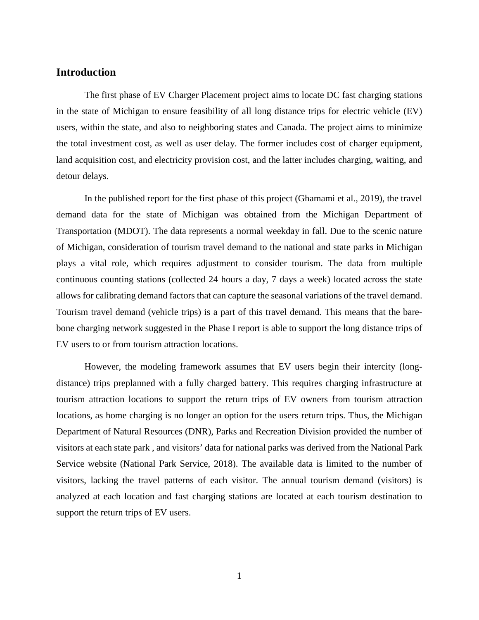#### <span id="page-4-0"></span>**Introduction**

The first phase of EV Charger Placement project aims to locate DC fast charging stations in the state of Michigan to ensure feasibility of all long distance trips for electric vehicle (EV) users, within the state, and also to neighboring states and Canada. The project aims to minimize the total investment cost, as well as user delay. The former includes cost of charger equipment, land acquisition cost, and electricity provision cost, and the latter includes charging, waiting, and detour delays.

In the published report for the first phase of this project (Ghamami et al., 2019), the travel demand data for the state of Michigan was obtained from the Michigan Department of Transportation (MDOT). The data represents a normal weekday in fall. Due to the scenic nature of Michigan, consideration of tourism travel demand to the national and state parks in Michigan plays a vital role, which requires adjustment to consider tourism. The data from multiple continuous counting stations (collected 24 hours a day, 7 days a week) located across the state allows for calibrating demand factors that can capture the seasonal variations of the travel demand. Tourism travel demand (vehicle trips) is a part of this travel demand. This means that the barebone charging network suggested in the Phase I report is able to support the long distance trips of EV users to or from tourism attraction locations.

However, the modeling framework assumes that EV users begin their intercity (longdistance) trips preplanned with a fully charged battery. This requires charging infrastructure at tourism attraction locations to support the return trips of EV owners from tourism attraction locations, as home charging is no longer an option for the users return trips. Thus, the Michigan Department of Natural Resources (DNR), Parks and Recreation Division provided the number of visitors at each state park , and visitors' data for national parks was derived from the National Park Service website (National Park Service, 2018). The available data is limited to the number of visitors, lacking the travel patterns of each visitor. The annual tourism demand (visitors) is analyzed at each location and fast charging stations are located at each tourism destination to support the return trips of EV users.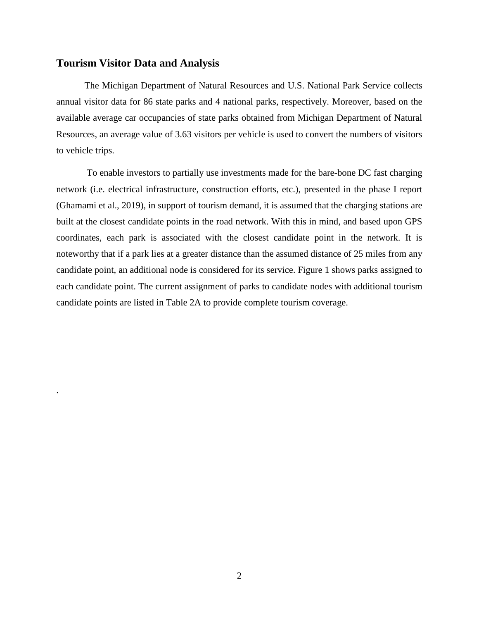#### <span id="page-5-0"></span>**Tourism Visitor Data and Analysis**

.

The Michigan Department of Natural Resources and U.S. National Park Service collects annual visitor data for 86 state parks and 4 national parks, respectively. Moreover, based on the available average car occupancies of state parks obtained from Michigan Department of Natural Resources, an average value of 3.63 visitors per vehicle is used to convert the numbers of visitors to vehicle trips.

To enable investors to partially use investments made for the bare-bone DC fast charging network (i.e. electrical infrastructure, construction efforts, etc.), presented in the phase I report (Ghamami et al., 2019), in support of tourism demand, it is assumed that the charging stations are built at the closest candidate points in the road network. With this in mind, and based upon GPS coordinates, each park is associated with the closest candidate point in the network. It is noteworthy that if a park lies at a greater distance than the assumed distance of 25 miles from any candidate point, an additional node is considered for its service. [Figure 1](#page-6-1) shows parks assigned to each candidate point. The current assignment of parks to candidate nodes with additional tourism candidate points are listed in Table 2A to provide complete tourism coverage.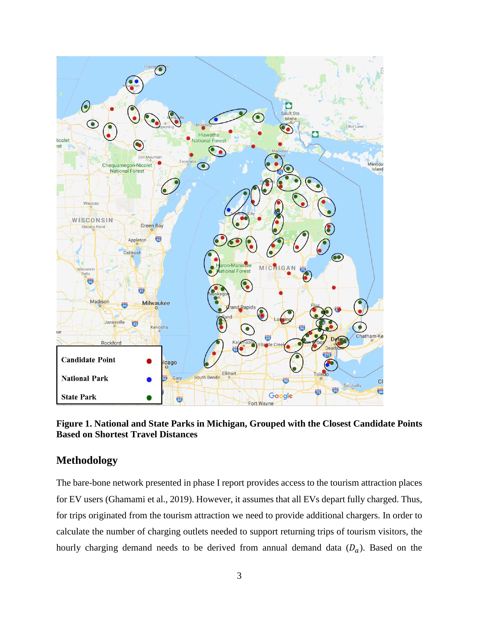

<span id="page-6-1"></span>**Figure 1. National and State Parks in Michigan, Grouped with the Closest Candidate Points Based on Shortest Travel Distances**

## <span id="page-6-0"></span>**Methodology**

The bare-bone network presented in phase I report provides access to the tourism attraction places for EV users (Ghamami et al., 2019). However, it assumes that all EVs depart fully charged. Thus, for trips originated from the tourism attraction we need to provide additional chargers. In order to calculate the number of charging outlets needed to support returning trips of tourism visitors, the hourly charging demand needs to be derived from annual demand data  $(D_a)$ . Based on the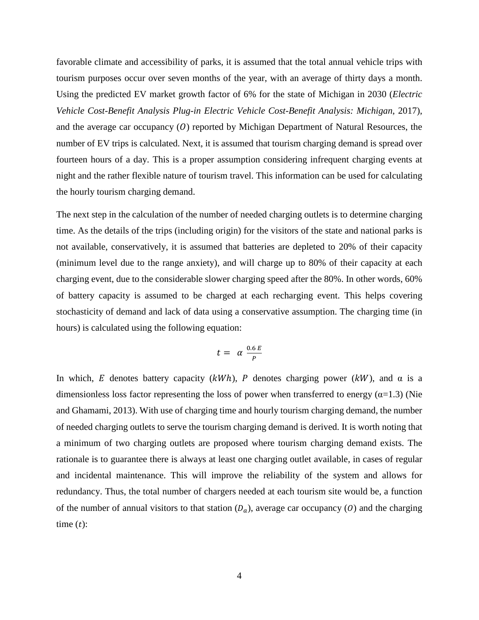favorable climate and accessibility of parks, it is assumed that the total annual vehicle trips with tourism purposes occur over seven months of the year, with an average of thirty days a month. Using the predicted EV market growth factor of 6% for the state of Michigan in 2030 (*Electric Vehicle Cost-Benefit Analysis Plug-in Electric Vehicle Cost-Benefit Analysis: Michigan*, 2017), and the average car occupancy  $(0)$  reported by Michigan Department of Natural Resources, the number of EV trips is calculated. Next, it is assumed that tourism charging demand is spread over fourteen hours of a day. This is a proper assumption considering infrequent charging events at night and the rather flexible nature of tourism travel. This information can be used for calculating the hourly tourism charging demand.

The next step in the calculation of the number of needed charging outlets is to determine charging time. As the details of the trips (including origin) for the visitors of the state and national parks is not available, conservatively, it is assumed that batteries are depleted to 20% of their capacity (minimum level due to the range anxiety), and will charge up to 80% of their capacity at each charging event, due to the considerable slower charging speed after the 80%. In other words, 60% of battery capacity is assumed to be charged at each recharging event. This helps covering stochasticity of demand and lack of data using a conservative assumption. The charging time (in hours) is calculated using the following equation:

$$
t = \alpha \frac{0.6 E}{P}
$$

In which, E denotes battery capacity ( $kWh$ ), P denotes charging power ( $kW$ ), and  $\alpha$  is a dimensionless loss factor representing the loss of power when transferred to energy ( $\alpha$ =1.3) (Nie and Ghamami, 2013). With use of charging time and hourly tourism charging demand, the number of needed charging outlets to serve the tourism charging demand is derived. It is worth noting that a minimum of two charging outlets are proposed where tourism charging demand exists. The rationale is to guarantee there is always at least one charging outlet available, in cases of regular and incidental maintenance. This will improve the reliability of the system and allows for redundancy. Thus, the total number of chargers needed at each tourism site would be, a function of the number of annual visitors to that station  $(D_a)$ , average car occupancy (0) and the charging time  $(t)$ :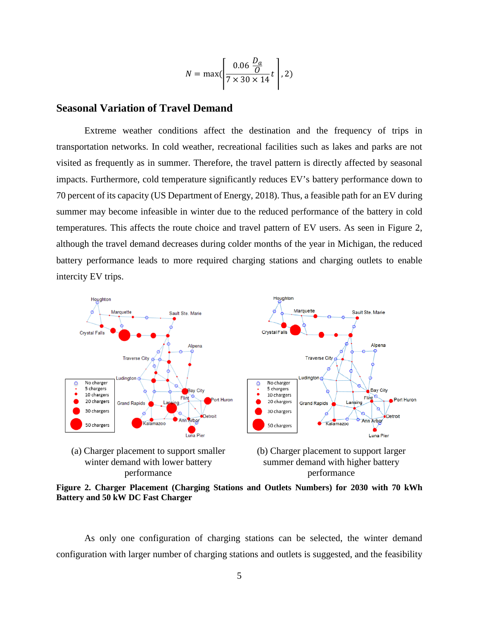$$
N = \max\left(\left[\frac{0.06 \frac{D_a}{O}}{7 \times 30 \times 14} t\right], 2\right)
$$

#### <span id="page-8-0"></span>**Seasonal Variation of Travel Demand**

Extreme weather conditions affect the destination and the frequency of trips in transportation networks. In cold weather, recreational facilities such as lakes and parks are not visited as frequently as in summer. Therefore, the travel pattern is directly affected by seasonal impacts. Furthermore, cold temperature significantly reduces EV's battery performance down to 70 percent of its capacity (US Department of Energy, 2018). Thus, a feasible path for an EV during summer may become infeasible in winter due to the reduced performance of the battery in cold temperatures. This affects the route choice and travel pattern of EV users. As seen in [Figure 2,](#page-8-1) although the travel demand decreases during colder months of the year in Michigan, the reduced battery performance leads to more required charging stations and charging outlets to enable intercity EV trips.



winter demand with lower battery performance

summer demand with higher battery performance

<span id="page-8-1"></span>**Figure 2. Charger Placement (Charging Stations and Outlets Numbers) for 2030 with 70 kWh Battery and 50 kW DC Fast Charger**

As only one configuration of charging stations can be selected, the winter demand configuration with larger number of charging stations and outlets is suggested, and the feasibility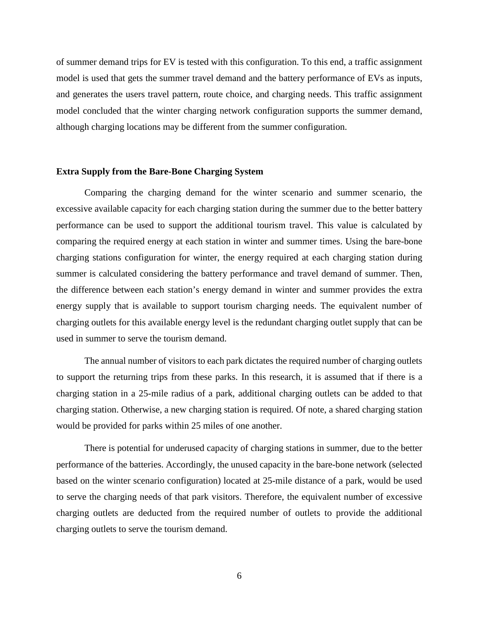of summer demand trips for EV is tested with this configuration. To this end, a traffic assignment model is used that gets the summer travel demand and the battery performance of EVs as inputs, and generates the users travel pattern, route choice, and charging needs. This traffic assignment model concluded that the winter charging network configuration supports the summer demand, although charging locations may be different from the summer configuration.

#### <span id="page-9-0"></span>**Extra Supply from the Bare-Bone Charging System**

Comparing the charging demand for the winter scenario and summer scenario, the excessive available capacity for each charging station during the summer due to the better battery performance can be used to support the additional tourism travel. This value is calculated by comparing the required energy at each station in winter and summer times. Using the bare-bone charging stations configuration for winter, the energy required at each charging station during summer is calculated considering the battery performance and travel demand of summer. Then, the difference between each station's energy demand in winter and summer provides the extra energy supply that is available to support tourism charging needs. The equivalent number of charging outlets for this available energy level is the redundant charging outlet supply that can be used in summer to serve the tourism demand.

The annual number of visitors to each park dictates the required number of charging outlets to support the returning trips from these parks. In this research, it is assumed that if there is a charging station in a 25-mile radius of a park, additional charging outlets can be added to that charging station. Otherwise, a new charging station is required. Of note, a shared charging station would be provided for parks within 25 miles of one another.

There is potential for underused capacity of charging stations in summer, due to the better performance of the batteries. Accordingly, the unused capacity in the bare-bone network (selected based on the winter scenario configuration) located at 25-mile distance of a park, would be used to serve the charging needs of that park visitors. Therefore, the equivalent number of excessive charging outlets are deducted from the required number of outlets to provide the additional charging outlets to serve the tourism demand.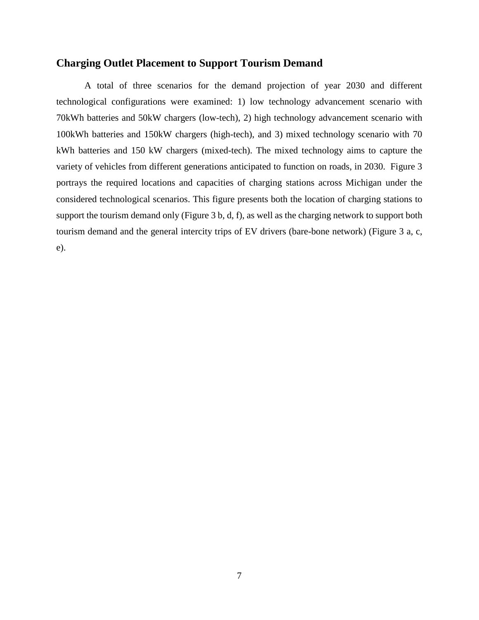### <span id="page-10-0"></span>**Charging Outlet Placement to Support Tourism Demand**

A total of three scenarios for the demand projection of year 2030 and different technological configurations were examined: 1) low technology advancement scenario with 70kWh batteries and 50kW chargers (low-tech), 2) high technology advancement scenario with 100kWh batteries and 150kW chargers (high-tech), and 3) mixed technology scenario with 70 kWh batteries and 150 kW chargers (mixed-tech). The mixed technology aims to capture the variety of vehicles from different generations anticipated to function on roads, in 2030. [Figure 3](#page-11-0) portrays the required locations and capacities of charging stations across Michigan under the considered technological scenarios. This figure presents both the location of charging stations to support the tourism demand only (Figure 3 b, d, f), as well as the charging network to support both tourism demand and the general intercity trips of EV drivers (bare-bone network) (Figure 3 a, c, e).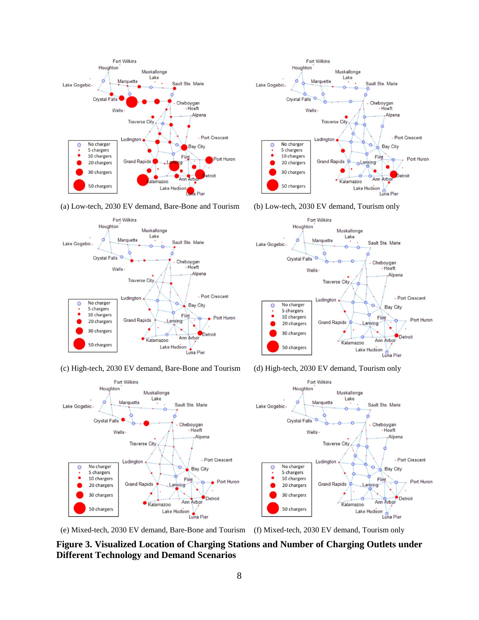

(a) Low-tech, 2030 EV demand, Bare-Bone and Tourism (b) Low-tech, 2030 EV demand, Tourism only



(c) High-tech, 2030 EV demand, Bare-Bone and Tourism (d) High-tech, 2030 EV demand, Tourism only











(e) Mixed-tech, 2030 EV demand, Bare-Bone and Tourism (f) Mixed-tech, 2030 EV demand, Tourism only

<span id="page-11-0"></span>**Figure 3. Visualized Location of Charging Stations and Number of Charging Outlets under Different Technology and Demand Scenarios**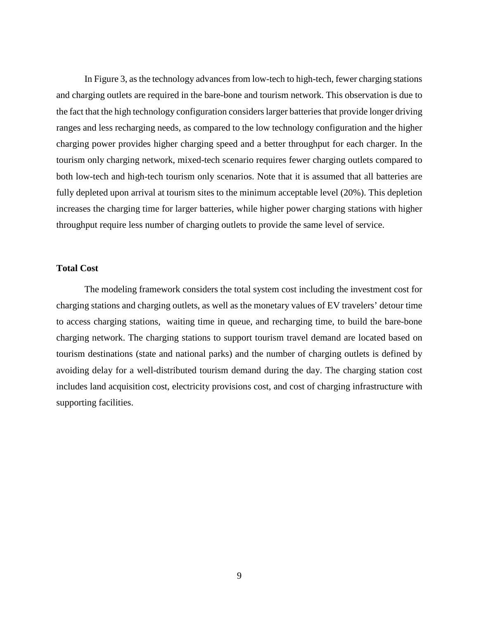In [Figure 3,](#page-11-0) as the technology advances from low-tech to high-tech, fewer charging stations and charging outlets are required in the bare-bone and tourism network. This observation is due to the fact that the high technology configuration considerslarger batteries that provide longer driving ranges and less recharging needs, as compared to the low technology configuration and the higher charging power provides higher charging speed and a better throughput for each charger. In the tourism only charging network, mixed-tech scenario requires fewer charging outlets compared to both low-tech and high-tech tourism only scenarios. Note that it is assumed that all batteries are fully depleted upon arrival at tourism sites to the minimum acceptable level (20%). This depletion increases the charging time for larger batteries, while higher power charging stations with higher throughput require less number of charging outlets to provide the same level of service.

#### <span id="page-12-0"></span>**Total Cost**

The modeling framework considers the total system cost including the investment cost for charging stations and charging outlets, as well as the monetary values of EV travelers' detour time to access charging stations, waiting time in queue, and recharging time, to build the bare-bone charging network. The charging stations to support tourism travel demand are located based on tourism destinations (state and national parks) and the number of charging outlets is defined by avoiding delay for a well-distributed tourism demand during the day. The charging station cost includes land acquisition cost, electricity provisions cost, and cost of charging infrastructure with supporting facilities.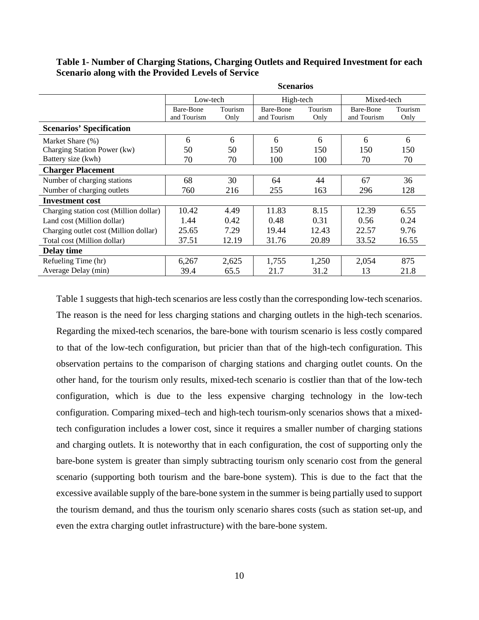#### **Table 1- Number of Charging Stations, Charging Outlets and Required Investment for each Scenario along with the Provided Levels of Service**

|                                        |             |         | <b>Scenarios</b> |         |             |         |
|----------------------------------------|-------------|---------|------------------|---------|-------------|---------|
|                                        | Low-tech    |         | High-tech        |         | Mixed-tech  |         |
|                                        | Bare-Bone   | Tourism | Bare-Bone        | Tourism | Bare-Bone   | Tourism |
|                                        | and Tourism | Only    | and Tourism      | Only    | and Tourism | Only    |
| <b>Scenarios' Specification</b>        |             |         |                  |         |             |         |
| Market Share (%)                       | 6           | 6       | 6                | 6       | 6           | 6       |
| Charging Station Power (kw)            | 50          | 50      | 150              | 150     | 150         | 150     |
| Battery size (kwh)                     | 70          | 70      | 100              | 100     | 70          | 70      |
| <b>Charger Placement</b>               |             |         |                  |         |             |         |
| Number of charging stations            | 68          | 30      | 64               | 44      | 67          | 36      |
| Number of charging outlets             | 760         | 216     | 255              | 163     | 296         | 128     |
| <b>Investment</b> cost                 |             |         |                  |         |             |         |
| Charging station cost (Million dollar) | 10.42       | 4.49    | 11.83            | 8.15    | 12.39       | 6.55    |
| Land cost (Million dollar)             | 1.44        | 0.42    | 0.48             | 0.31    | 0.56        | 0.24    |
| Charging outlet cost (Million dollar)  | 25.65       | 7.29    | 19.44            | 12.43   | 22.57       | 9.76    |
| Total cost (Million dollar)            | 37.51       | 12.19   | 31.76            | 20.89   | 33.52       | 16.55   |
| <b>Delay time</b>                      |             |         |                  |         |             |         |
| Refueling Time (hr)                    | 6,267       | 2,625   | 1,755            | 1,250   | 2,054       | 875     |
| Average Delay (min)                    | 39.4        | 65.5    | 21.7             | 31.2    | 13          | 21.8    |

Table 1 suggests that high-tech scenarios are less costly than the corresponding low-tech scenarios. The reason is the need for less charging stations and charging outlets in the high-tech scenarios. Regarding the mixed-tech scenarios, the bare-bone with tourism scenario is less costly compared to that of the low-tech configuration, but pricier than that of the high-tech configuration. This observation pertains to the comparison of charging stations and charging outlet counts. On the other hand, for the tourism only results, mixed-tech scenario is costlier than that of the low-tech configuration, which is due to the less expensive charging technology in the low-tech configuration. Comparing mixed–tech and high-tech tourism-only scenarios shows that a mixedtech configuration includes a lower cost, since it requires a smaller number of charging stations and charging outlets. It is noteworthy that in each configuration, the cost of supporting only the bare-bone system is greater than simply subtracting tourism only scenario cost from the general scenario (supporting both tourism and the bare-bone system). This is due to the fact that the excessive available supply of the bare-bone system in the summer is being partially used to support the tourism demand, and thus the tourism only scenario shares costs (such as station set-up, and even the extra charging outlet infrastructure) with the bare-bone system.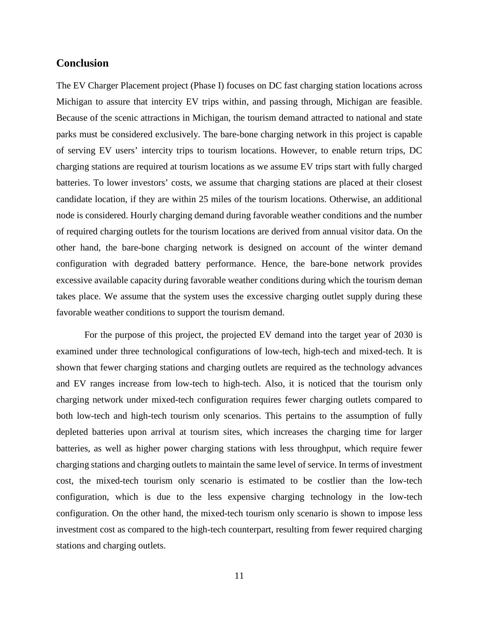#### <span id="page-14-0"></span>**Conclusion**

The EV Charger Placement project (Phase I) focuses on DC fast charging station locations across Michigan to assure that intercity EV trips within, and passing through, Michigan are feasible. Because of the scenic attractions in Michigan, the tourism demand attracted to national and state parks must be considered exclusively. The bare-bone charging network in this project is capable of serving EV users' intercity trips to tourism locations. However, to enable return trips, DC charging stations are required at tourism locations as we assume EV trips start with fully charged batteries. To lower investors' costs, we assume that charging stations are placed at their closest candidate location, if they are within 25 miles of the tourism locations. Otherwise, an additional node is considered. Hourly charging demand during favorable weather conditions and the number of required charging outlets for the tourism locations are derived from annual visitor data. On the other hand, the bare-bone charging network is designed on account of the winter demand configuration with degraded battery performance. Hence, the bare-bone network provides excessive available capacity during favorable weather conditions during which the tourism deman takes place. We assume that the system uses the excessive charging outlet supply during these favorable weather conditions to support the tourism demand.

For the purpose of this project, the projected EV demand into the target year of 2030 is examined under three technological configurations of low-tech, high-tech and mixed-tech. It is shown that fewer charging stations and charging outlets are required as the technology advances and EV ranges increase from low-tech to high-tech. Also, it is noticed that the tourism only charging network under mixed-tech configuration requires fewer charging outlets compared to both low-tech and high-tech tourism only scenarios. This pertains to the assumption of fully depleted batteries upon arrival at tourism sites, which increases the charging time for larger batteries, as well as higher power charging stations with less throughput, which require fewer charging stations and charging outlets to maintain the same level of service. In terms of investment cost, the mixed-tech tourism only scenario is estimated to be costlier than the low-tech configuration, which is due to the less expensive charging technology in the low-tech configuration. On the other hand, the mixed-tech tourism only scenario is shown to impose less investment cost as compared to the high-tech counterpart, resulting from fewer required charging stations and charging outlets.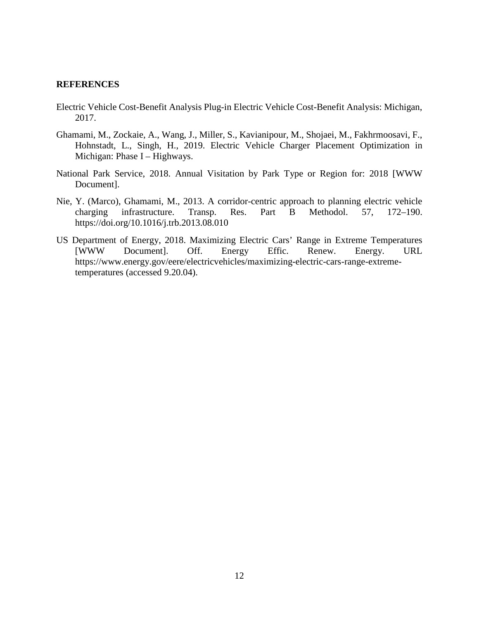#### **REFERENCES**

- Electric Vehicle Cost-Benefit Analysis Plug-in Electric Vehicle Cost-Benefit Analysis: Michigan, 2017.
- Ghamami, M., Zockaie, A., Wang, J., Miller, S., Kavianipour, M., Shojaei, M., Fakhrmoosavi, F., Hohnstadt, L., Singh, H., 2019. Electric Vehicle Charger Placement Optimization in Michigan: Phase I – Highways.
- National Park Service, 2018. Annual Visitation by Park Type or Region for: 2018 [WWW Document].
- Nie, Y. (Marco), Ghamami, M., 2013. A corridor-centric approach to planning electric vehicle charging infrastructure. Transp. Res. Part B Methodol. 57, 172–190. https://doi.org/10.1016/j.trb.2013.08.010
- US Department of Energy, 2018. Maximizing Electric Cars' Range in Extreme Temperatures [WWW Document]. Off. Energy Effic. Renew. Energy. URL https://www.energy.gov/eere/electricvehicles/maximizing-electric-cars-range-extremetemperatures (accessed 9.20.04).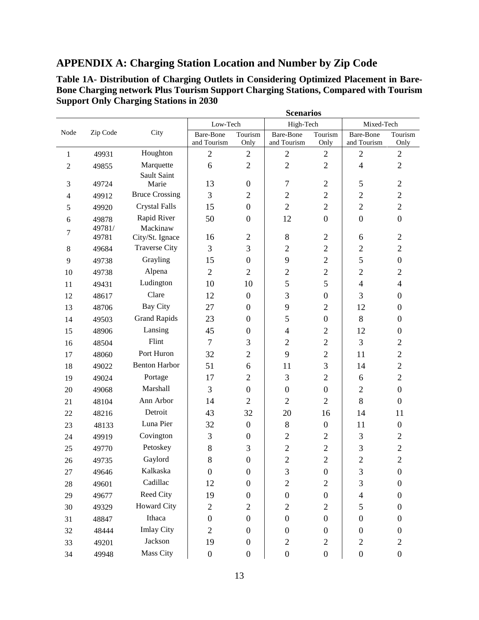# <span id="page-16-0"></span>**APPENDIX A: Charging Station Location and Number by Zip Code**

|                |                 |                         |                                 |                  | <b>Scenarios</b>                |                  |                                 |                  |
|----------------|-----------------|-------------------------|---------------------------------|------------------|---------------------------------|------------------|---------------------------------|------------------|
|                |                 |                         | Low-Tech                        |                  | High-Tech                       |                  | Mixed-Tech                      |                  |
| Node           | Zip Code        | City                    | <b>Bare-Bone</b><br>and Tourism | Tourism<br>Only  | <b>Bare-Bone</b><br>and Tourism | Tourism<br>Only  | <b>Bare-Bone</b><br>and Tourism | Tourism<br>Only  |
| 1              | 49931           | Houghton                | $\sqrt{2}$                      | $\overline{2}$   | $\overline{2}$                  | $\overline{2}$   | $\sqrt{2}$                      | $\mathbf{2}$     |
| $\overline{2}$ | 49855           | Marquette               | 6                               | $\overline{2}$   | $\overline{2}$                  | $\overline{2}$   | $\overline{4}$                  | $\overline{2}$   |
| 3              | 49724           | Sault Saint<br>Marie    | 13                              | $\boldsymbol{0}$ | $\tau$                          | $\mathfrak{2}$   | 5                               | $\sqrt{2}$       |
| 4              | 49912           | <b>Bruce Crossing</b>   | 3                               | $\overline{2}$   | $\overline{2}$                  | $\mathfrak{2}$   | $\sqrt{2}$                      | $\mathbf{2}$     |
| 5              | 49920           | <b>Crystal Falls</b>    | 15                              | $\boldsymbol{0}$ | $\overline{2}$                  | $\mathbf{2}$     | $\sqrt{2}$                      | $\mathbf{2}$     |
| 6              | 49878<br>49781/ | Rapid River<br>Mackinaw | 50                              | $\boldsymbol{0}$ | 12                              | $\overline{0}$   | $\boldsymbol{0}$                | $\boldsymbol{0}$ |
| 7              | 49781           | City/St. Ignace         | 16                              | $\overline{2}$   | $8\,$                           | $\sqrt{2}$       | 6                               | $\sqrt{2}$       |
| 8              | 49684           | <b>Traverse City</b>    | 3                               | 3                | $\overline{2}$                  | $\overline{2}$   | $\overline{2}$                  | $\overline{2}$   |
| 9              | 49738           | Grayling                | 15                              | $\boldsymbol{0}$ | 9                               | $\overline{2}$   | 5                               | $\boldsymbol{0}$ |
| 10             | 49738           | Alpena                  | $\overline{2}$                  | $\overline{2}$   | $\overline{2}$                  | $\overline{2}$   | $\overline{2}$                  | $\overline{2}$   |
| 11             | 49431           | Ludington               | 10                              | 10               | 5                               | 5                | $\overline{4}$                  | $\overline{4}$   |
| 12             | 48617           | Clare                   | 12                              | $\boldsymbol{0}$ | 3                               | $\boldsymbol{0}$ | 3                               | $\boldsymbol{0}$ |
| 13             | 48706           | <b>Bay City</b>         | 27                              | $\boldsymbol{0}$ | 9                               | $\overline{2}$   | 12                              | $\boldsymbol{0}$ |
| 14             | 49503           | <b>Grand Rapids</b>     | 23                              | $\boldsymbol{0}$ | 5                               | $\boldsymbol{0}$ | 8                               | $\boldsymbol{0}$ |
| 15             | 48906           | Lansing                 | 45                              | $\boldsymbol{0}$ | $\overline{4}$                  | $\overline{2}$   | 12                              | $\boldsymbol{0}$ |
| 16             | 48504           | Flint                   | $\overline{7}$                  | 3                | $\overline{2}$                  | $\overline{c}$   | 3                               | $\mathbf{2}$     |
| 17             | 48060           | Port Huron              | 32                              | $\overline{2}$   | 9                               | $\overline{2}$   | 11                              | $\overline{2}$   |
| 18             | 49022           | <b>Benton Harbor</b>    | 51                              | 6                | 11                              | 3                | 14                              | $\overline{2}$   |
| 19             | 49024           | Portage                 | 17                              | $\overline{2}$   | 3                               | $\overline{2}$   | 6                               | $\overline{2}$   |
| 20             | 49068           | Marshall                | 3                               | $\boldsymbol{0}$ | $\boldsymbol{0}$                | $\boldsymbol{0}$ | $\overline{2}$                  | $\boldsymbol{0}$ |
| 21             | 48104           | Ann Arbor               | 14                              | $\overline{2}$   | $\overline{2}$                  | $\overline{2}$   | $8\,$                           | $\boldsymbol{0}$ |
| 22             | 48216           | Detroit                 | 43                              | 32               | 20                              | 16               | 14                              | 11               |
| 23             | 48133           | Luna Pier               | 32                              | $\mathbf{0}$     | 8                               | $\boldsymbol{0}$ | 11                              | $\boldsymbol{0}$ |
| 24             | 49919           | Covington               | 3                               | $\boldsymbol{0}$ | $\overline{2}$                  | $\mathbf{2}$     | 3                               | $\overline{2}$   |
| 25             | 49770           | Petoskey                | 8                               | 3                | $\overline{c}$                  | $\overline{c}$   | 3                               | $\overline{2}$   |
| $26\,$         | 49735           | Gaylord                 | $\,$ $\,$                       | $\boldsymbol{0}$ | $\overline{c}$                  | $\overline{c}$   | $\overline{c}$                  | $\overline{2}$   |
| 27             | 49646           | Kalkaska                | $\boldsymbol{0}$                | $\boldsymbol{0}$ | 3                               | $\boldsymbol{0}$ | 3                               | $\boldsymbol{0}$ |
| 28             | 49601           | Cadillac                | 12                              | $\boldsymbol{0}$ | $\overline{c}$                  | $\overline{c}$   | 3                               | 0                |
| 29             | 49677           | Reed City               | 19                              | $\boldsymbol{0}$ | $\boldsymbol{0}$                | $\boldsymbol{0}$ | $\overline{\mathcal{A}}$        | 0                |
| 30             | 49329           | <b>Howard City</b>      | $\sqrt{2}$                      | $\overline{c}$   | $\mathbf{2}$                    | $\overline{c}$   | 5                               | 0                |
| 31             | 48847           | Ithaca                  | $\boldsymbol{0}$                | $\boldsymbol{0}$ | $\boldsymbol{0}$                | $\boldsymbol{0}$ | $\boldsymbol{0}$                | 0                |
| 32             | 48444           | <b>Imlay City</b>       | $\overline{2}$                  | $\boldsymbol{0}$ | $\boldsymbol{0}$                | $\boldsymbol{0}$ | $\boldsymbol{0}$                | 0                |
| 33             | 49201           | Jackson                 | 19                              | $\boldsymbol{0}$ | $\overline{c}$                  | $\overline{c}$   | $\overline{c}$                  | 2                |
| 34             | 49948           | Mass City               | $\boldsymbol{0}$                | $\boldsymbol{0}$ | $\boldsymbol{0}$                | $\boldsymbol{0}$ | $\boldsymbol{0}$                | $\boldsymbol{0}$ |

**Table 1A- Distribution of Charging Outlets in Considering Optimized Placement in Bare-Bone Charging network Plus Tourism Support Charging Stations, Compared with Tourism Support Only Charging Stations in 2030**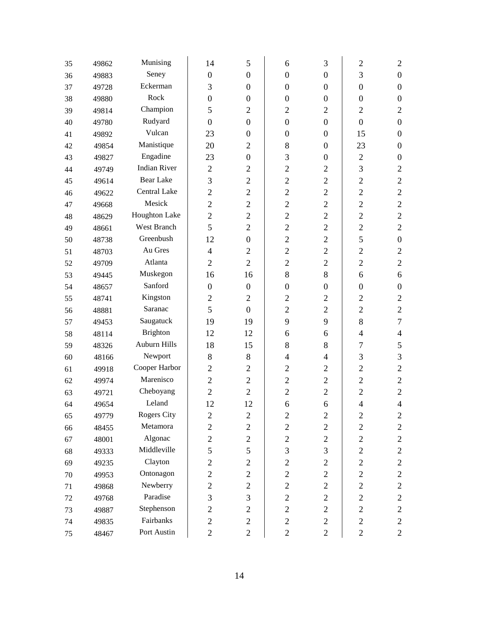| 35 | 49862 | Munising            | 14               | 5                | 6                | 3                | $\overline{2}$   | $\overline{2}$   |
|----|-------|---------------------|------------------|------------------|------------------|------------------|------------------|------------------|
| 36 | 49883 | Seney               | $\boldsymbol{0}$ | $\boldsymbol{0}$ | $\boldsymbol{0}$ | $\boldsymbol{0}$ | 3                | $\boldsymbol{0}$ |
| 37 | 49728 | Eckerman            | 3                | $\boldsymbol{0}$ | $\boldsymbol{0}$ | $\overline{0}$   | $\boldsymbol{0}$ | $\boldsymbol{0}$ |
| 38 | 49880 | Rock                | $\boldsymbol{0}$ | $\boldsymbol{0}$ | $\boldsymbol{0}$ | $\boldsymbol{0}$ | $\boldsymbol{0}$ | $\boldsymbol{0}$ |
| 39 | 49814 | Champion            | 5                | $\overline{2}$   | $\overline{2}$   | $\overline{2}$   | $\overline{2}$   | $\overline{2}$   |
| 40 | 49780 | Rudyard             | $\boldsymbol{0}$ | $\boldsymbol{0}$ | $\boldsymbol{0}$ | $\boldsymbol{0}$ | $\boldsymbol{0}$ | $\boldsymbol{0}$ |
| 41 | 49892 | Vulcan              | 23               | $\boldsymbol{0}$ | $\boldsymbol{0}$ | $\overline{0}$   | 15               | $\boldsymbol{0}$ |
| 42 | 49854 | Manistique          | 20               | $\overline{2}$   | 8                | $\boldsymbol{0}$ | 23               | $\boldsymbol{0}$ |
| 43 | 49827 | Engadine            | 23               | $\boldsymbol{0}$ | 3                | $\overline{0}$   | $\overline{2}$   | $\boldsymbol{0}$ |
| 44 | 49749 | <b>Indian River</b> | $\overline{2}$   | $\overline{2}$   | $\overline{2}$   | $\overline{2}$   | 3                | $\sqrt{2}$       |
| 45 | 49614 | <b>Bear Lake</b>    | 3                | $\overline{2}$   | $\overline{2}$   | $\overline{2}$   | $\overline{2}$   | $\overline{2}$   |
| 46 | 49622 | Central Lake        | $\overline{2}$   | $\overline{2}$   | $\overline{2}$   | $\overline{2}$   | $\overline{2}$   | $\overline{2}$   |
| 47 | 49668 | Mesick              | $\overline{2}$   | $\overline{2}$   | $\overline{2}$   | $\overline{2}$   | $\overline{2}$   | $\overline{2}$   |
| 48 | 48629 | Houghton Lake       | $\overline{2}$   | $\overline{2}$   | $\overline{2}$   | $\overline{2}$   | $\overline{2}$   | $\overline{2}$   |
| 49 | 48661 | West Branch         | 5                | $\overline{2}$   | $\overline{2}$   | $\overline{2}$   | $\overline{2}$   | $\overline{2}$   |
| 50 | 48738 | Greenbush           | 12               | $\boldsymbol{0}$ | $\overline{2}$   | $\overline{2}$   | 5                | $\boldsymbol{0}$ |
| 51 | 48703 | Au Gres             | $\overline{4}$   | $\overline{2}$   | $\overline{2}$   | $\overline{2}$   | $\overline{2}$   | $\overline{2}$   |
| 52 | 49709 | Atlanta             | $\overline{2}$   | $\overline{2}$   | $\overline{2}$   | $\overline{2}$   | $\overline{2}$   | $\overline{2}$   |
| 53 | 49445 | Muskegon            | 16               | 16               | 8                | 8                | 6                | 6                |
| 54 | 48657 | Sanford             | $\boldsymbol{0}$ | $\boldsymbol{0}$ | $\boldsymbol{0}$ | $\boldsymbol{0}$ | $\boldsymbol{0}$ | $\boldsymbol{0}$ |
| 55 | 48741 | Kingston            | $\overline{2}$   | $\overline{2}$   | $\overline{2}$   | $\overline{2}$   | $\overline{2}$   | $\overline{2}$   |
| 56 | 48881 | Saranac             | 5                | $\boldsymbol{0}$ | $\overline{2}$   | $\overline{2}$   | $\overline{2}$   | $\overline{2}$   |
| 57 | 49453 | Saugatuck           | 19               | 19               | 9                | 9                | 8                | $\tau$           |
| 58 | 48114 | <b>Brighton</b>     | 12               | 12               | 6                | 6                | $\overline{4}$   | $\overline{4}$   |
| 59 | 48326 | Auburn Hills        | 18               | 15               | 8                | 8                | 7                | $\mathfrak s$    |
| 60 | 48166 | Newport             | 8                | $8\,$            | $\overline{4}$   | $\overline{4}$   | 3                | $\mathfrak{Z}$   |
| 61 | 49918 | Cooper Harbor       | $\overline{2}$   | $\overline{2}$   | $\overline{2}$   | $\overline{2}$   | $\overline{2}$   | $\overline{2}$   |
| 62 | 49974 | Marenisco           | $\overline{2}$   | $\overline{2}$   | $\overline{2}$   | $\overline{2}$   | $\overline{2}$   | $\overline{2}$   |
| 63 | 49721 | Cheboyang           | $\overline{2}$   | $\overline{2}$   | $\overline{2}$   | $\overline{2}$   | $\overline{2}$   | $\overline{2}$   |
| 64 | 49654 | Leland              | 12               | 12               | 6                | 6                | $\overline{4}$   | $\overline{4}$   |
| 65 | 49779 | <b>Rogers City</b>  | $\overline{2}$   | $\overline{2}$   | $\overline{2}$   | $\overline{2}$   | $\mathbf{2}$     | $\overline{2}$   |
| 66 | 48455 | Metamora            | $\overline{c}$   | $\overline{2}$   | $\overline{2}$   | $\overline{2}$   | $\mathfrak{2}$   | $\sqrt{2}$       |
| 67 | 48001 | Algonac             | $\overline{c}$   | $\overline{2}$   | $\overline{2}$   | $\overline{2}$   | $\overline{2}$   | $\sqrt{2}$       |
| 68 | 49333 | Middleville         | 5                | 5                | 3                | $\mathfrak{Z}$   | $\overline{2}$   | $\sqrt{2}$       |
| 69 | 49235 | Clayton             | $\overline{2}$   | $\overline{2}$   | $\overline{2}$   | $\overline{2}$   | $\mathfrak{2}$   | $\mathbf{2}$     |
| 70 | 49953 | Ontonagon           | $\overline{c}$   | $\overline{2}$   | $\overline{2}$   | $\overline{2}$   | $\overline{2}$   | $\sqrt{2}$       |
| 71 | 49868 | Newberry            | $\overline{2}$   | $\overline{2}$   | $\overline{2}$   | $\overline{2}$   | $\overline{2}$   | $\sqrt{2}$       |
| 72 | 49768 | Paradise            | 3                | 3                | $\overline{2}$   | $\overline{2}$   | $\overline{2}$   | $\sqrt{2}$       |
| 73 | 49887 | Stephenson          | $\overline{2}$   | $\overline{2}$   | $\overline{2}$   | $\overline{2}$   | $\mathfrak{2}$   | $\mathbf{2}$     |
| 74 | 49835 | Fairbanks           | $\overline{2}$   | $\overline{2}$   | $\overline{2}$   | $\overline{2}$   | $\overline{2}$   | $\mathfrak{2}$   |
| 75 | 48467 | Port Austin         | $\overline{2}$   | $\overline{2}$   | $\overline{2}$   | $\overline{2}$   | $\overline{2}$   | $\overline{2}$   |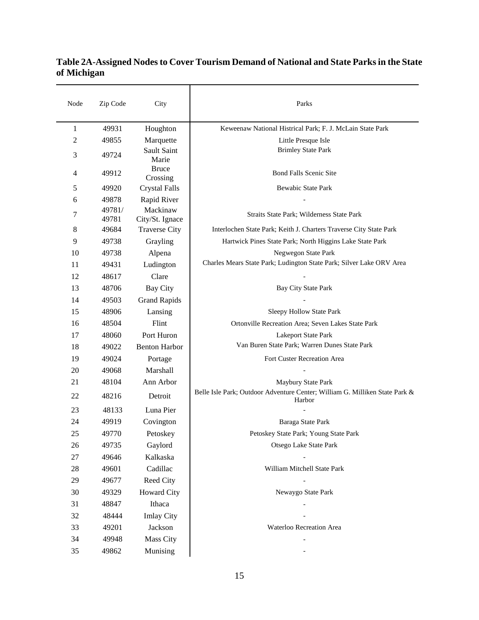## **Table 2A-Assigned Nodes to Cover Tourism Demand of National and State Parks in the State of Michigan**

| Node   | Zip Code        | City                        | Parks                                                                                 |
|--------|-----------------|-----------------------------|---------------------------------------------------------------------------------------|
| 1      | 49931           | Houghton                    | Keweenaw National Histrical Park; F. J. McLain State Park                             |
| 2      | 49855           | Marquette                   | Little Presque Isle                                                                   |
| 3      | 49724           | Sault Saint<br>Marie        | <b>Brimley State Park</b>                                                             |
| 4      | 49912           | <b>Bruce</b><br>Crossing    | <b>Bond Falls Scenic Site</b>                                                         |
| 5      | 49920           | <b>Crystal Falls</b>        | <b>Bewabic State Park</b>                                                             |
| 6      | 49878           | Rapid River                 |                                                                                       |
| 7      | 49781/<br>49781 | Mackinaw<br>City/St. Ignace | Straits State Park; Wilderness State Park                                             |
| 8      | 49684           | <b>Traverse City</b>        | Interlochen State Park; Keith J. Charters Traverse City State Park                    |
| 9      | 49738           | Grayling                    | Hartwick Pines State Park; North Higgins Lake State Park                              |
| 10     | 49738           | Alpena                      | Negwegon State Park                                                                   |
| 11     | 49431           | Ludington                   | Charles Mears State Park; Ludington State Park; Silver Lake ORV Area                  |
| 12     | 48617           | Clare                       |                                                                                       |
| 13     | 48706           | <b>Bay City</b>             | <b>Bay City State Park</b>                                                            |
| 14     | 49503           | <b>Grand Rapids</b>         |                                                                                       |
| 15     | 48906           | Lansing                     | Sleepy Hollow State Park                                                              |
| 16     | 48504           | Flint                       | Ortonville Recreation Area; Seven Lakes State Park                                    |
| 17     | 48060           | Port Huron                  | Lakeport State Park                                                                   |
| 18     | 49022           | <b>Benton Harbor</b>        | Van Buren State Park; Warren Dunes State Park                                         |
| 19     | 49024           | Portage                     | Fort Custer Recreation Area                                                           |
| 20     | 49068           | Marshall                    |                                                                                       |
| 21     | 48104           | Ann Arbor                   | Maybury State Park                                                                    |
| 22     | 48216           | Detroit                     | Belle Isle Park; Outdoor Adventure Center; William G. Milliken State Park &<br>Harbor |
| 23     | 48133           | Luna Pier                   |                                                                                       |
| 24     | 49919           | Covington                   | Baraga State Park                                                                     |
| $25\,$ | 49770           | Petoskey                    | Petoskey State Park; Young State Park                                                 |
| 26     | 49735           | Gaylord                     | Otsego Lake State Park                                                                |
| 27     | 49646           | Kalkaska                    |                                                                                       |
| 28     | 49601           | Cadillac                    | William Mitchell State Park                                                           |
| 29     | 49677           | Reed City                   |                                                                                       |
| 30     | 49329           | <b>Howard City</b>          | Newaygo State Park                                                                    |
| 31     | 48847           | Ithaca                      |                                                                                       |
| 32     | 48444           | <b>Imlay City</b>           |                                                                                       |
| 33     | 49201           | Jackson                     | Waterloo Recreation Area                                                              |
| 34     | 49948           | Mass City                   |                                                                                       |
| 35     | 49862           | Munising                    |                                                                                       |